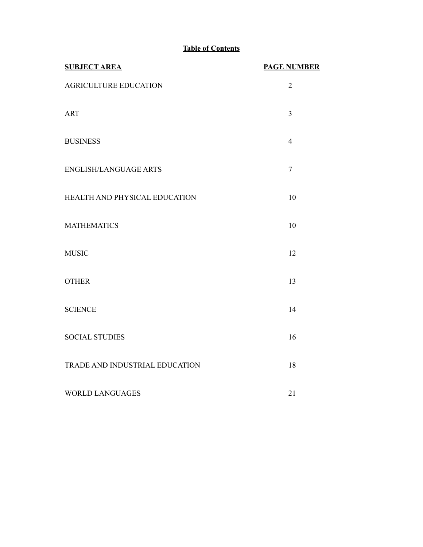# **Table of Contents**

| <b>SUBJECT AREA</b>            | <b>PAGE NUMBER</b> |
|--------------------------------|--------------------|
| AGRICULTURE EDUCATION          | $\overline{2}$     |
| <b>ART</b>                     | $\overline{3}$     |
| <b>BUSINESS</b>                | $\overline{4}$     |
| <b>ENGLISH/LANGUAGE ARTS</b>   | $\overline{7}$     |
| HEALTH AND PHYSICAL EDUCATION  | 10                 |
| <b>MATHEMATICS</b>             | 10                 |
| <b>MUSIC</b>                   | 12                 |
| <b>OTHER</b>                   | 13                 |
| <b>SCIENCE</b>                 | 14                 |
| <b>SOCIAL STUDIES</b>          | 16                 |
| TRADE AND INDUSTRIAL EDUCATION | 18                 |
| <b>WORLD LANGUAGES</b>         | 21                 |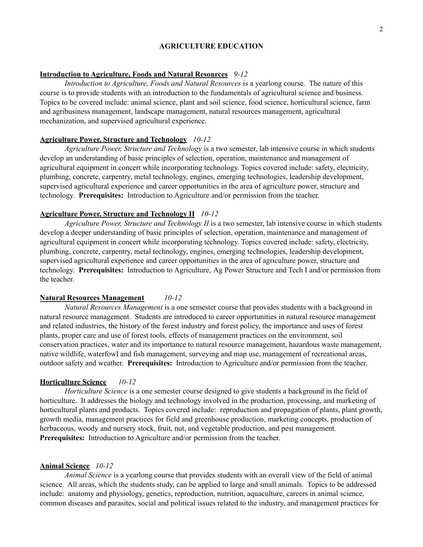### **AGRICULTURE EDUCATION**

### **Introduction to Agriculture, Foods and Natural Resources** *9-12*

*Introduction to Agriculture, Foods and Natural Resources* is a yearlong course. The nature of this course is to provide students with an introduction to the fundamentals of agricultural science and business. Topics to be covered include: animal science, plant and soil science, food science, horticultural science, farm and agribusiness management, landscape management, natural resources management, agricultural mechanization, and supervised agricultural experience.

#### **Agriculture Power, Structure and Technology** *10-12*

*Agriculture Power, Structure and Technology* is a two semester, lab intensive course in which students develop an understanding of basic principles of selection, operation, maintenance and management of agricultural equipment in concert while incorporating technology. Topics covered include: safety, electricity, plumbing, concrete, carpentry, metal technology, engines, emerging technologies, leadership development, supervised agricultural experience and career opportunities in the area of agriculture power, structure and technology. **Prerequisites:** Introduction to Agriculture and/or permission from the teacher.

## **Agriculture Power, Structure and Technology II** *10-12*

*Agriculture Power, Structure and Technology II* is a two semester, lab intensive course in which students develop a deeper understanding of basic principles of selection, operation, maintenance and management of agricultural equipment in concert while incorporating technology. Topics covered include: safety, electricity, plumbing, concrete, carpentry, metal technology, engines, emerging technologies, leadership development, supervised agricultural experience and career opportunities in the area of agriculture power, structure and technology. **Prerequisites:** Introduction to Agriculture, Ag Power Structure and Tech I and/or permission from the teacher.

### **Natural Resources Management** *10-12*

*Natural Resources Management* is a one semester course that provides students with a background in natural resource management. Students are introduced to career opportunities in natural resource management and related industries, the history of the forest industry and forest policy, the importance and uses of forest plants, proper care and use of forest tools, effects of management practices on the environment, soil conservation practices, water and its importance to natural resource management, hazardous waste management, native wildlife, waterfowl and fish management, surveying and map use, management of recreational areas, outdoor safety and weather. **Prerequisites:** Introduction to Agriculture and/or permission from the teacher.

### **Horticulture Science** *10-12*

*Horticulture Science* is a one semester course designed to give students a background in the field of horticulture. It addresses the biology and technology involved in the production, processing, and marketing of horticultural plants and products. Topics covered include: reproduction and propagation of plants, plant growth, growth media, management practices for field and greenhouse production, marketing concepts, production of herbaceous, woody and nursery stock, fruit, nut, and vegetable production, and pest management. **Prerequisites:** Introduction to Agriculture and/or permission from the teacher.

### **Animal Science** *10-12*

*Animal Science* is a yearlong course that provides students with an overall view of the field of animal science. All areas, which the students study, can be applied to large and small animals. Topics to be addressed include: anatomy and physiology, genetics, reproduction, nutrition, aquaculture, careers in animal science, common diseases and parasites, social and political issues related to the industry, and management practices for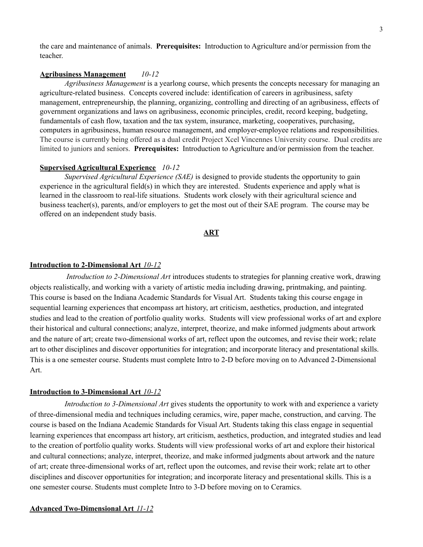the care and maintenance of animals. **Prerequisites:** Introduction to Agriculture and/or permission from the teacher.

### **Agribusiness Management** *10-12*

*Agribusiness Management* is a yearlong course, which presents the concepts necessary for managing an agriculture-related business. Concepts covered include: identification of careers in agribusiness, safety management, entrepreneurship, the planning, organizing, controlling and directing of an agribusiness, effects of government organizations and laws on agribusiness, economic principles, credit, record keeping, budgeting, fundamentals of cash flow, taxation and the tax system, insurance, marketing, cooperatives, purchasing, computers in agribusiness, human resource management, and employer-employee relations and responsibilities. The course is currently being offered as a dual credit Project Xcel Vincennes University course. Dual credits are limited to juniors and seniors. **Prerequisites:** Introduction to Agriculture and/or permission from the teacher.

### **Supervised Agricultural Experience** *10-12*

*Supervised Agricultural Experience (SAE)* is designed to provide students the opportunity to gain experience in the agricultural field(s) in which they are interested. Students experience and apply what is learned in the classroom to real-life situations. Students work closely with their agricultural science and business teacher(s), parents, and/or employers to get the most out of their SAE program. The course may be offered on an independent study basis.

### **ART**

### **Introduction to 2-Dimensional Art** *10-12*

*Introduction to 2-Dimensional Art* introduces students to strategies for planning creative work, drawing objects realistically, and working with a variety of artistic media including drawing, printmaking, and painting. This course is based on the Indiana Academic Standards for Visual Art. Students taking this course engage in sequential learning experiences that encompass art history, art criticism, aesthetics, production, and integrated studies and lead to the creation of portfolio quality works. Students will view professional works of art and explore their historical and cultural connections; analyze, interpret, theorize, and make informed judgments about artwork and the nature of art; create two-dimensional works of art, reflect upon the outcomes, and revise their work; relate art to other disciplines and discover opportunities for integration; and incorporate literacy and presentational skills. This is a one semester course. Students must complete Intro to 2-D before moving on to Advanced 2-Dimensional Art.

### **Introduction to 3-Dimensional Art** *10-12*

*Introduction to 3-Dimensional Art* gives students the opportunity to work with and experience a variety of three-dimensional media and techniques including ceramics, wire, paper mache, construction, and carving. The course is based on the Indiana Academic Standards for Visual Art. Students taking this class engage in sequential learning experiences that encompass art history, art criticism, aesthetics, production, and integrated studies and lead to the creation of portfolio quality works. Students will view professional works of art and explore their historical and cultural connections; analyze, interpret, theorize, and make informed judgments about artwork and the nature of art; create three-dimensional works of art, reflect upon the outcomes, and revise their work; relate art to other disciplines and discover opportunities for integration; and incorporate literacy and presentational skills. This is a one semester course. Students must complete Intro to 3-D before moving on to Ceramics.

#### **Advanced Two-Dimensional Art** *11-12*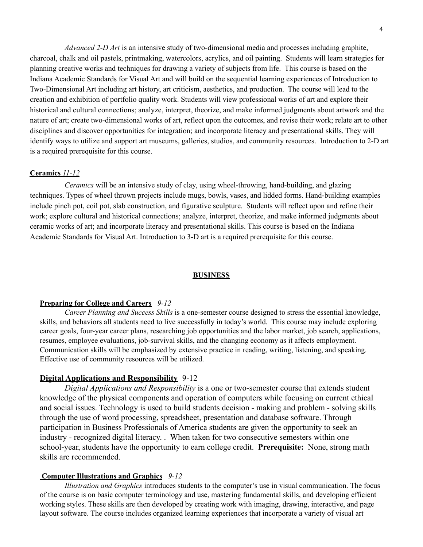*Advanced 2-D Art* is an intensive study of two-dimensional media and processes including graphite, charcoal, chalk and oil pastels, printmaking, watercolors, acrylics, and oil painting. Students will learn strategies for planning creative works and techniques for drawing a variety of subjects from life. This course is based on the Indiana Academic Standards for Visual Art and will build on the sequential learning experiences of Introduction to Two-Dimensional Art including art history, art criticism, aesthetics, and production. The course will lead to the creation and exhibition of portfolio quality work. Students will view professional works of art and explore their historical and cultural connections; analyze, interpret, theorize, and make informed judgments about artwork and the nature of art; create two-dimensional works of art, reflect upon the outcomes, and revise their work; relate art to other disciplines and discover opportunities for integration; and incorporate literacy and presentational skills. They will identify ways to utilize and support art museums, galleries, studios, and community resources. Introduction to 2-D art is a required prerequisite for this course.

### **Ceramics** *11-12*

*Ceramics* will be an intensive study of clay, using wheel-throwing, hand-building, and glazing techniques. Types of wheel thrown projects include mugs, bowls, vases, and lidded forms. Hand-building examples include pinch pot, coil pot, slab construction, and figurative sculpture. Students will reflect upon and refine their work; explore cultural and historical connections; analyze, interpret, theorize, and make informed judgments about ceramic works of art; and incorporate literacy and presentational skills. This course is based on the Indiana Academic Standards for Visual Art. Introduction to 3-D art is a required prerequisite for this course.

### **BUSINESS**

### **Preparing for College and Careers** *9-12*

*Career Planning and Success Skills* is a one-semester course designed to stress the essential knowledge, skills, and behaviors all students need to live successfully in today's world. This course may include exploring career goals, four-year career plans, researching job opportunities and the labor market, job search, applications, resumes, employee evaluations, job-survival skills, and the changing economy as it affects employment. Communication skills will be emphasized by extensive practice in reading, writing, listening, and speaking. Effective use of community resources will be utilized.

## **Digital Applications and Responsibility** 9-12

*Digital Applications and Responsibility* is a one or two-semester course that extends student knowledge of the physical components and operation of computers while focusing on current ethical and social issues. Technology is used to build students decision - making and problem - solving skills through the use of word processing, spreadsheet, presentation and database software. Through participation in Business Professionals of America students are given the opportunity to seek an industry - recognized digital literacy. . When taken for two consecutive semesters within one school-year, students have the opportunity to earn college credit. **Prerequisite:** None, strong math skills are recommended.

### **Computer Illustrations and Graphics** *9-12*

*Illustration and Graphics* introduces students to the computer's use in visual communication. The focus of the course is on basic computer terminology and use, mastering fundamental skills, and developing efficient working styles. These skills are then developed by creating work with imaging, drawing, interactive, and page layout software. The course includes organized learning experiences that incorporate a variety of visual art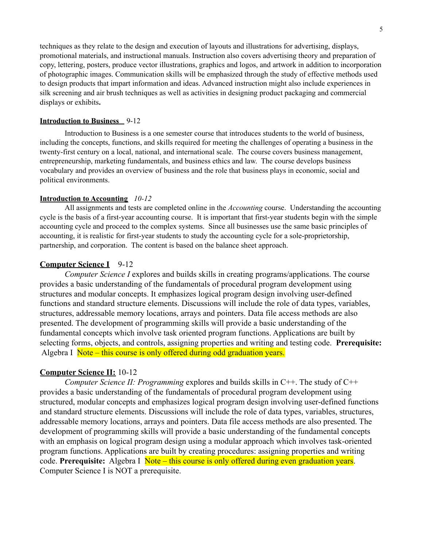techniques as they relate to the design and execution of layouts and illustrations for advertising, displays, promotional materials, and instructional manuals. Instruction also covers advertising theory and preparation of copy, lettering, posters, produce vector illustrations, graphics and logos, and artwork in addition to incorporation of photographic images. Communication skills will be emphasized through the study of effective methods used to design products that impart information and ideas. Advanced instruction might also include experiences in silk screening and air brush techniques as well as activities in designing product packaging and commercial displays or exhibits**.**

### **Introduction to Business** 9-12

Introduction to Business is a one semester course that introduces students to the world of business, including the concepts, functions, and skills required for meeting the challenges of operating a business in the twenty-first century on a local, national, and international scale. The course covers business management, entrepreneurship, marketing fundamentals, and business ethics and law. The course develops business vocabulary and provides an overview of business and the role that business plays in economic, social and political environments.

### **Introduction to Accounting** *10-12*

All assignments and tests are completed online in the *Accounting* course. Understanding the accounting cycle is the basis of a first-year accounting course. It is important that first-year students begin with the simple accounting cycle and proceed to the complex systems. Since all businesses use the same basic principles of accounting, it is realistic for first-year students to study the accounting cycle for a sole-proprietorship, partnership, and corporation. The content is based on the balance sheet approach.

### **Computer Science I** 9-12

*Computer Science I* explores and builds skills in creating programs/applications. The course provides a basic understanding of the fundamentals of procedural program development using structures and modular concepts. It emphasizes logical program design involving user-defined functions and standard structure elements. Discussions will include the role of data types, variables, structures, addressable memory locations, arrays and pointers. Data file access methods are also presented. The development of programming skills will provide a basic understanding of the fundamental concepts which involve task oriented program functions. Applications are built by selecting forms, objects, and controls, assigning properties and writing and testing code. **Prerequisite:** Algebra I Note – this course is only offered during odd graduation years.

### **Computer Science II:** 10-12

*Computer Science II: Programming* explores and builds skills in C++. The study of C++ provides a basic understanding of the fundamentals of procedural program development using structured, modular concepts and emphasizes logical program design involving user-defined functions and standard structure elements. Discussions will include the role of data types, variables, structures, addressable memory locations, arrays and pointers. Data file access methods are also presented. The development of programming skills will provide a basic understanding of the fundamental concepts with an emphasis on logical program design using a modular approach which involves task-oriented program functions. Applications are built by creating procedures: assigning properties and writing code. **Prerequisite:** Algebra I Note – this course is only offered during even graduation years. Computer Science I is NOT a prerequisite.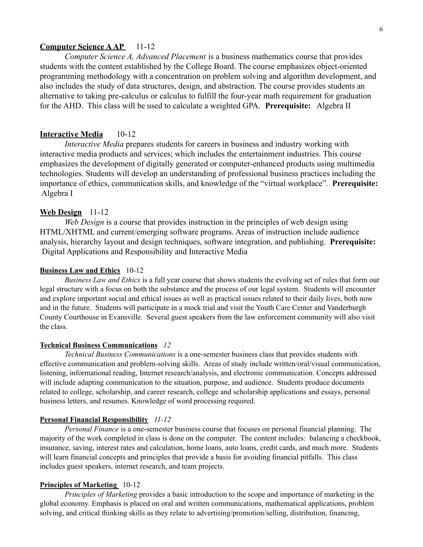### **Computer Science AAP** 11-12

*Computer Science A, Advanced Placement* is a business mathematics course that provides students with the content established by the College Board. The course emphasizes object-oriented programming methodology with a concentration on problem solving and algorithm development, and also includes the study of data structures, design, and abstraction. The course provides students an alternative to taking pre-calculus or calculus to fulfill the four-year math requirement for graduation for the AHD. This class will be used to calculate a weighted GPA. **Prerequisite:** Algebra II

## **Interactive Media** 10-12

*Interactive Media* prepares students for careers in business and industry working with interactive media products and services; which includes the entertainment industries. This course emphasizes the development of digitally generated or computer-enhanced products using multimedia technologies. Students will develop an understanding of professional business practices including the importance of ethics, communication skills, and knowledge of the "virtual workplace". **Prerequisite:** Algebra I

## **Web Design** 11-12

*Web Design* is a course that provides instruction in the principles of web design using HTML/XHTML and current/emerging software programs. Areas of instruction include audience analysis, hierarchy layout and design techniques, software integration, and publishing. **Prerequisite:** Digital Applications and Responsibility and Interactive Media

### **Business Law and Ethics** 10-12

*Business Law and Ethics* is a full year course that shows students the evolving set of rules that form our legal structure with a focus on both the substance and the process of our legal system. Students will encounter and explore important social and ethical issues as well as practical issues related to their daily lives, both now and in the future. Students will participate in a mock trial and visit the Youth Care Center and Vanderburgh County Courthouse in Evansville. Several guest speakers from the law enforcement community will also visit the class.

## **Technical Business Communications** *12*

*Technical Business Communications* is a one-semester business class that provides students with effective communication and problem-solving skills. Areas of study include written/oral/visual communication, listening, informational reading, Internet research/analysis, and electronic communication. Concepts addressed will include adapting communication to the situation, purpose, and audience. Students produce documents related to college, scholarship, and career research, college and scholarship applications and essays, personal business letters, and resumes. Knowledge of word processing required.

### **Personal Financial Responsibility** *11-12*

*Personal Finance* is a one-semester business course that focuses on personal financial planning. The majority of the work completed in class is done on the computer. The content includes: balancing a checkbook, insurance, saving, interest rates and calculation, home loans, auto loans, credit cards, and much more. Students will learn financial concepts and principles that provide a basis for avoiding financial pitfalls. This class includes guest speakers, internet research, and team projects.

#### **Principles of Marketing** 10-12

*Principles of Marketing* provides a basic introduction to the scope and importance of marketing in the global economy. Emphasis is placed on oral and written communications, mathematical applications, problem solving, and critical thinking skills as they relate to advertising/promotion/selling, distribution, financing,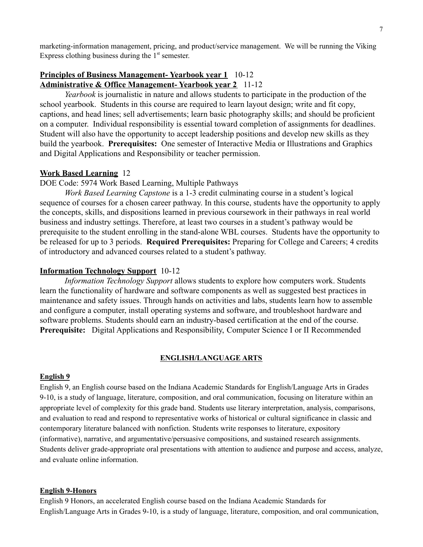marketing-information management, pricing, and product/service management. We will be running the Viking Express clothing business during the  $1<sup>st</sup>$  semester.

## **Principles of Business Management- Yearbook year 1** 10-12 **Administrative & Office Management- Yearbook year 2** 11-12

*Yearbook* is journalistic in nature and allows students to participate in the production of the school yearbook. Students in this course are required to learn layout design; write and fit copy, captions, and head lines; sell advertisements; learn basic photography skills; and should be proficient on a computer. Individual responsibility is essential toward completion of assignments for deadlines. Student will also have the opportunity to accept leadership positions and develop new skills as they build the yearbook. **Prerequisites:** One semester of Interactive Media or Illustrations and Graphics and Digital Applications and Responsibility or teacher permission.

## **Work Based Learning** 12

DOE Code: 5974 Work Based Learning, Multiple Pathways

*Work Based Learning Capstone* is a 1-3 credit culminating course in a student's logical sequence of courses for a chosen career pathway. In this course, students have the opportunity to apply the concepts, skills, and dispositions learned in previous coursework in their pathways in real world business and industry settings. Therefore, at least two courses in a student's pathway would be prerequisite to the student enrolling in the stand-alone WBL courses. Students have the opportunity to be released for up to 3 periods. **Required Prerequisites:** Preparing for College and Careers; 4 credits of introductory and advanced courses related to a student's pathway.

## **Information Technology Support** 10-12

*Information Technology Support* allows students to explore how computers work. Students learn the functionality of hardware and software components as well as suggested best practices in maintenance and safety issues. Through hands on activities and labs, students learn how to assemble and configure a computer, install operating systems and software, and troubleshoot hardware and software problems. Students should earn an industry-based certification at the end of the course. **Prerequisite:** Digital Applications and Responsibility, Computer Science I or II Recommended

### **ENGLISH/LANGUAGE ARTS**

### **English 9**

English 9, an English course based on the Indiana Academic Standards for English/Language Arts in Grades 9-10, is a study of language, literature, composition, and oral communication, focusing on literature within an appropriate level of complexity for this grade band. Students use literary interpretation, analysis, comparisons, and evaluation to read and respond to representative works of historical or cultural significance in classic and contemporary literature balanced with nonfiction. Students write responses to literature, expository (informative), narrative, and argumentative/persuasive compositions, and sustained research assignments. Students deliver grade-appropriate oral presentations with attention to audience and purpose and access, analyze, and evaluate online information.

#### **English 9-Honors**

English 9 Honors, an accelerated English course based on the Indiana Academic Standards for English/Language Arts in Grades 9-10, is a study of language, literature, composition, and oral communication,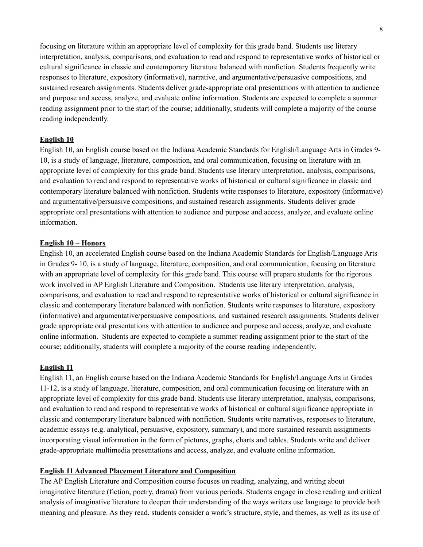focusing on literature within an appropriate level of complexity for this grade band. Students use literary interpretation, analysis, comparisons, and evaluation to read and respond to representative works of historical or cultural significance in classic and contemporary literature balanced with nonfiction. Students frequently write responses to literature, expository (informative), narrative, and argumentative/persuasive compositions, and sustained research assignments. Students deliver grade-appropriate oral presentations with attention to audience and purpose and access, analyze, and evaluate online information. Students are expected to complete a summer reading assignment prior to the start of the course; additionally, students will complete a majority of the course reading independently.

### **English 10**

English 10, an English course based on the Indiana Academic Standards for English/Language Arts in Grades 9- 10, is a study of language, literature, composition, and oral communication, focusing on literature with an appropriate level of complexity for this grade band. Students use literary interpretation, analysis, comparisons, and evaluation to read and respond to representative works of historical or cultural significance in classic and contemporary literature balanced with nonfiction. Students write responses to literature, expository (informative) and argumentative/persuasive compositions, and sustained research assignments. Students deliver grade appropriate oral presentations with attention to audience and purpose and access, analyze, and evaluate online information.

## **English 10 – Honors**

English 10, an accelerated English course based on the Indiana Academic Standards for English/Language Arts in Grades 9- 10, is a study of language, literature, composition, and oral communication, focusing on literature with an appropriate level of complexity for this grade band. This course will prepare students for the rigorous work involved in AP English Literature and Composition. Students use literary interpretation, analysis, comparisons, and evaluation to read and respond to representative works of historical or cultural significance in classic and contemporary literature balanced with nonfiction. Students write responses to literature, expository (informative) and argumentative/persuasive compositions, and sustained research assignments. Students deliver grade appropriate oral presentations with attention to audience and purpose and access, analyze, and evaluate online information. Students are expected to complete a summer reading assignment prior to the start of the course; additionally, students will complete a majority of the course reading independently.

### **English 11**

English 11, an English course based on the Indiana Academic Standards for English/Language Arts in Grades 11-12, is a study of language, literature, composition, and oral communication focusing on literature with an appropriate level of complexity for this grade band. Students use literary interpretation, analysis, comparisons, and evaluation to read and respond to representative works of historical or cultural significance appropriate in classic and contemporary literature balanced with nonfiction. Students write narratives, responses to literature, academic essays (e.g. analytical, persuasive, expository, summary), and more sustained research assignments incorporating visual information in the form of pictures, graphs, charts and tables. Students write and deliver grade-appropriate multimedia presentations and access, analyze, and evaluate online information.

## **English 11 Advanced Placement Literature and Composition**

The AP English Literature and Composition course focuses on reading, analyzing, and writing about imaginative literature (fiction, poetry, drama) from various periods. Students engage in close reading and critical analysis of imaginative literature to deepen their understanding of the ways writers use language to provide both meaning and pleasure. As they read, students consider a work's structure, style, and themes, as well as its use of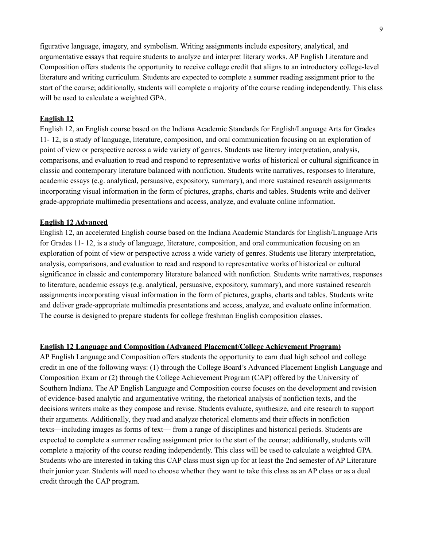figurative language, imagery, and symbolism. Writing assignments include expository, analytical, and argumentative essays that require students to analyze and interpret literary works. AP English Literature and Composition offers students the opportunity to receive college credit that aligns to an introductory college-level literature and writing curriculum. Students are expected to complete a summer reading assignment prior to the start of the course; additionally, students will complete a majority of the course reading independently. This class will be used to calculate a weighted GPA.

## **English 12**

English 12, an English course based on the Indiana Academic Standards for English/Language Arts for Grades 11- 12, is a study of language, literature, composition, and oral communication focusing on an exploration of point of view or perspective across a wide variety of genres. Students use literary interpretation, analysis, comparisons, and evaluation to read and respond to representative works of historical or cultural significance in classic and contemporary literature balanced with nonfiction. Students write narratives, responses to literature, academic essays (e.g. analytical, persuasive, expository, summary), and more sustained research assignments incorporating visual information in the form of pictures, graphs, charts and tables. Students write and deliver grade-appropriate multimedia presentations and access, analyze, and evaluate online information.

### **English 12 Advanced**

English 12, an accelerated English course based on the Indiana Academic Standards for English/Language Arts for Grades 11- 12, is a study of language, literature, composition, and oral communication focusing on an exploration of point of view or perspective across a wide variety of genres. Students use literary interpretation, analysis, comparisons, and evaluation to read and respond to representative works of historical or cultural significance in classic and contemporary literature balanced with nonfiction. Students write narratives, responses to literature, academic essays (e.g. analytical, persuasive, expository, summary), and more sustained research assignments incorporating visual information in the form of pictures, graphs, charts and tables. Students write and deliver grade-appropriate multimedia presentations and access, analyze, and evaluate online information. The course is designed to prepare students for college freshman English composition classes.

### **English 12 Language and Composition (Advanced Placement/College Achievement Program)**

AP English Language and Composition offers students the opportunity to earn dual high school and college credit in one of the following ways: (1) through the College Board's Advanced Placement English Language and Composition Exam or (2) through the College Achievement Program (CAP) offered by the University of Southern Indiana. The AP English Language and Composition course focuses on the development and revision of evidence-based analytic and argumentative writing, the rhetorical analysis of nonfiction texts, and the decisions writers make as they compose and revise. Students evaluate, synthesize, and cite research to support their arguments. Additionally, they read and analyze rhetorical elements and their effects in nonfiction texts—including images as forms of text— from a range of disciplines and historical periods. Students are expected to complete a summer reading assignment prior to the start of the course; additionally, students will complete a majority of the course reading independently. This class will be used to calculate a weighted GPA. Students who are interested in taking this CAP class must sign up for at least the 2nd semester of AP Literature their junior year. Students will need to choose whether they want to take this class as an AP class or as a dual credit through the CAP program.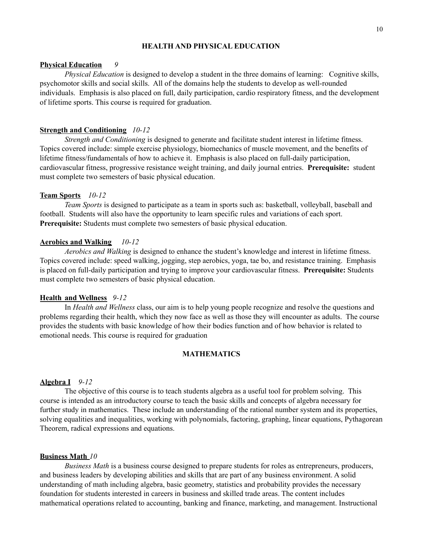### **HEALTH AND PHYSICAL EDUCATION**

### **Physical Education** *9*

*Physical Education* is designed to develop a student in the three domains of learning: Cognitive skills, psychomotor skills and social skills. All of the domains help the students to develop as well-rounded individuals. Emphasis is also placed on full, daily participation, cardio respiratory fitness, and the development of lifetime sports. This course is required for graduation.

### **Strength and Conditioning** *10-12*

*Strength and Conditioning* is designed to generate and facilitate student interest in lifetime fitness. Topics covered include: simple exercise physiology, biomechanics of muscle movement, and the benefits of lifetime fitness/fundamentals of how to achieve it. Emphasis is also placed on full-daily participation, cardiovascular fitness, progressive resistance weight training, and daily journal entries. **Prerequisite:** student must complete two semesters of basic physical education.

#### **Team Sports** *10-12*

*Team Sports* is designed to participate as a team in sports such as: basketball, volleyball, baseball and football. Students will also have the opportunity to learn specific rules and variations of each sport. **Prerequisite:** Students must complete two semesters of basic physical education.

### **Aerobics and Walking** *10-12*

*Aerobics and Walking* is designed to enhance the student's knowledge and interest in lifetime fitness. Topics covered include: speed walking, jogging, step aerobics, yoga, tae bo, and resistance training. Emphasis is placed on full-daily participation and trying to improve your cardiovascular fitness. **Prerequisite:** Students must complete two semesters of basic physical education.

### **Health and Wellness** *9-12*

In *Health and Wellness* class, our aim is to help young people recognize and resolve the questions and problems regarding their health, which they now face as well as those they will encounter as adults. The course provides the students with basic knowledge of how their bodies function and of how behavior is related to emotional needs. This course is required for graduation

### **MATHEMATICS**

#### **Algebra I** *9-12*

The objective of this course is to teach students algebra as a useful tool for problem solving. This course is intended as an introductory course to teach the basic skills and concepts of algebra necessary for further study in mathematics. These include an understanding of the rational number system and its properties, solving equalities and inequalities, working with polynomials, factoring, graphing, linear equations, Pythagorean Theorem, radical expressions and equations.

### **Business Math** *10*

*Business Math* is a business course designed to prepare students for roles as entrepreneurs, producers, and business leaders by developing abilities and skills that are part of any business environment. A solid understanding of math including algebra, basic geometry, statistics and probability provides the necessary foundation for students interested in careers in business and skilled trade areas. The content includes mathematical operations related to accounting, banking and finance, marketing, and management. Instructional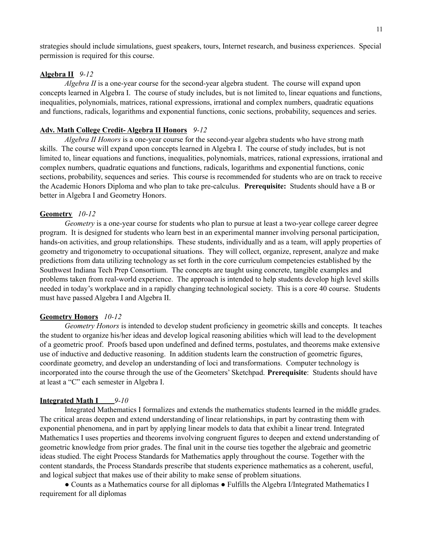strategies should include simulations, guest speakers, tours, Internet research, and business experiences. Special permission is required for this course.

### **Algebra II** *9-12*

*Algebra II* is a one-year course for the second-year algebra student. The course will expand upon concepts learned in Algebra I. The course of study includes, but is not limited to, linear equations and functions, inequalities, polynomials, matrices, rational expressions, irrational and complex numbers, quadratic equations and functions, radicals, logarithms and exponential functions, conic sections, probability, sequences and series.

### **Adv. Math College Credit- Algebra II Honors** *9-12*

*Algebra II Honors* is a one-year course for the second-year algebra students who have strong math skills. The course will expand upon concepts learned in Algebra I. The course of study includes, but is not limited to, linear equations and functions, inequalities, polynomials, matrices, rational expressions, irrational and complex numbers, quadratic equations and functions, radicals, logarithms and exponential functions, conic sections, probability, sequences and series. This course is recommended for students who are on track to receive the Academic Honors Diploma and who plan to take pre-calculus. **Prerequisite:** Students should have a B or better in Algebra I and Geometry Honors.

### **Geometry** *10-12*

*Geometry* is a one-year course for students who plan to pursue at least a two-year college career degree program. It is designed for students who learn best in an experimental manner involving personal participation, hands-on activities, and group relationships. These students, individually and as a team, will apply properties of geometry and trigonometry to occupational situations. They will collect, organize, represent, analyze and make predictions from data utilizing technology as set forth in the core curriculum competencies established by the Southwest Indiana Tech Prep Consortium. The concepts are taught using concrete, tangible examples and problems taken from real-world experience. The approach is intended to help students develop high level skills needed in today's workplace and in a rapidly changing technological society. This is a core 40 course. Students must have passed Algebra I and Algebra II.

#### **Geometry Honors** *10-12*

*Geometry Honors* is intended to develop student proficiency in geometric skills and concepts. It teaches the student to organize his/her ideas and develop logical reasoning abilities which will lead to the development of a geometric proof. Proofs based upon undefined and defined terms, postulates, and theorems make extensive use of inductive and deductive reasoning. In addition students learn the construction of geometric figures, coordinate geometry, and develop an understanding of loci and transformations. Computer technology is incorporated into the course through the use of the Geometers' Sketchpad. **Prerequisite**: Students should have at least a "C" each semester in Algebra I.

### **Integrated Math I** *9-10*

Integrated Mathematics I formalizes and extends the mathematics students learned in the middle grades. The critical areas deepen and extend understanding of linear relationships, in part by contrasting them with exponential phenomena, and in part by applying linear models to data that exhibit a linear trend. Integrated Mathematics I uses properties and theorems involving congruent figures to deepen and extend understanding of geometric knowledge from prior grades. The final unit in the course ties together the algebraic and geometric ideas studied. The eight Process Standards for Mathematics apply throughout the course. Together with the content standards, the Process Standards prescribe that students experience mathematics as a coherent, useful, and logical subject that makes use of their ability to make sense of problem situations.

● Counts as a Mathematics course for all diplomas ● Fulfills the Algebra I/Integrated Mathematics I requirement for all diplomas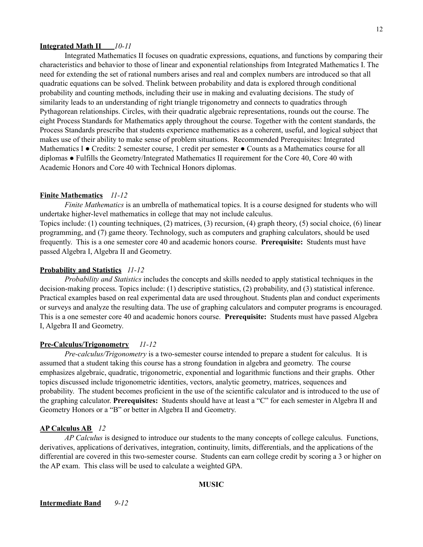### **Integrated Math II** *10-11*

Integrated Mathematics II focuses on quadratic expressions, equations, and functions by comparing their characteristics and behavior to those of linear and exponential relationships from Integrated Mathematics I. The need for extending the set of rational numbers arises and real and complex numbers are introduced so that all quadratic equations can be solved. Thelink between probability and data is explored through conditional probability and counting methods, including their use in making and evaluating decisions. The study of similarity leads to an understanding of right triangle trigonometry and connects to quadratics through Pythagorean relationships. Circles, with their quadratic algebraic representations, rounds out the course. The eight Process Standards for Mathematics apply throughout the course. Together with the content standards, the Process Standards prescribe that students experience mathematics as a coherent, useful, and logical subject that makes use of their ability to make sense of problem situations. Recommended Prerequisites: Integrated Mathematics I ● Credits: 2 semester course, 1 credit per semester ● Counts as a Mathematics course for all diplomas ● Fulfills the Geometry/Integrated Mathematics II requirement for the Core 40, Core 40 with Academic Honors and Core 40 with Technical Honors diplomas.

### **Finite Mathematics** *11-12*

*Finite Mathematics* is an umbrella of mathematical topics. It is a course designed for students who will undertake higher-level mathematics in college that may not include calculus. Topics include: (1) counting techniques, (2) matrices, (3) recursion, (4) graph theory, (5) social choice, (6) linear programming, and (7) game theory. Technology, such as computers and graphing calculators, should be used frequently. This is a one semester core 40 and academic honors course. **Prerequisite:** Students must have passed Algebra I, Algebra II and Geometry.

#### **Probability and Statistics** *11-12*

*Probability and Statistics* includes the concepts and skills needed to apply statistical techniques in the decision-making process. Topics include: (1) descriptive statistics, (2) probability, and (3) statistical inference. Practical examples based on real experimental data are used throughout. Students plan and conduct experiments or surveys and analyze the resulting data. The use of graphing calculators and computer programs is encouraged. This is a one semester core 40 and academic honors course. **Prerequisite:** Students must have passed Algebra I, Algebra II and Geometry.

#### **Pre-Calculus/Trigonometry** *11-12*

*Pre-calculus/Trigonometry* is a two-semester course intended to prepare a student for calculus. It is assumed that a student taking this course has a strong foundation in algebra and geometry. The course emphasizes algebraic, quadratic, trigonometric, exponential and logarithmic functions and their graphs. Other topics discussed include trigonometric identities, vectors, analytic geometry, matrices, sequences and probability. The student becomes proficient in the use of the scientific calculator and is introduced to the use of the graphing calculator. **Prerequisites:** Students should have at least a "C" for each semester in Algebra II and Geometry Honors or a "B" or better in Algebra II and Geometry.

### **AP Calculus AB** *12*

*AP Calculus* is designed to introduce our students to the many concepts of college calculus. Functions, derivatives, applications of derivatives, integration, continuity, limits, differentials, and the applications of the differential are covered in this two-semester course. Students can earn college credit by scoring a 3 or higher on the AP exam. This class will be used to calculate a weighted GPA.

### **MUSIC**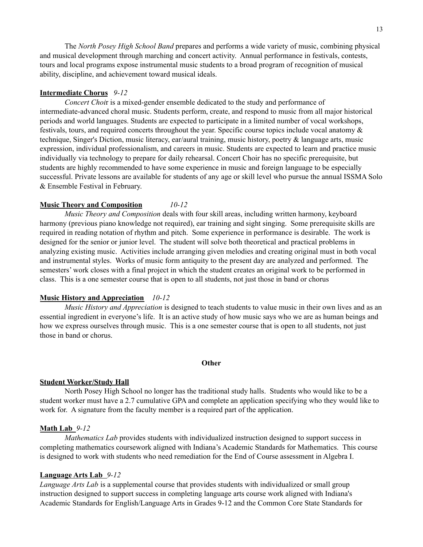The *North Posey High School Band* prepares and performs a wide variety of music, combining physical and musical development through marching and concert activity. Annual performance in festivals, contests, tours and local programs expose instrumental music students to a broad program of recognition of musical ability, discipline, and achievement toward musical ideals.

### **Intermediate Chorus** *9-12*

*Concert Choi*r is a mixed-gender ensemble dedicated to the study and performance of intermediate-advanced choral music. Students perform, create, and respond to music from all major historical periods and world languages. Students are expected to participate in a limited number of vocal workshops, festivals, tours, and required concerts throughout the year. Specific course topics include vocal anatomy & technique, Singer's Diction, music literacy, ear/aural training, music history, poetry & language arts, music expression, individual professionalism, and careers in music. Students are expected to learn and practice music individually via technology to prepare for daily rehearsal. Concert Choir has no specific prerequisite, but students are highly recommended to have some experience in music and foreign language to be especially successful. Private lessons are available for students of any age or skill level who pursue the annual ISSMA Solo & Ensemble Festival in February.

### **Music Theory and Composition** *10-12*

*Music Theory and Composition* deals with four skill areas, including written harmony, keyboard harmony (previous piano knowledge not required), ear training and sight singing. Some prerequisite skills are required in reading notation of rhythm and pitch. Some experience in performance is desirable. The work is designed for the senior or junior level. The student will solve both theoretical and practical problems in analyzing existing music. Activities include arranging given melodies and creating original must in both vocal and instrumental styles. Works of music form antiquity to the present day are analyzed and performed. The semesters' work closes with a final project in which the student creates an original work to be performed in class. This is a one semester course that is open to all students, not just those in band or chorus

### **Music History and Appreciation** *10-12*

*Music History and Appreciation* is designed to teach students to value music in their own lives and as an essential ingredient in everyone's life. It is an active study of how music says who we are as human beings and how we express ourselves through music. This is a one semester course that is open to all students, not just those in band or chorus.

#### **Other**

### **Student Worker/Study Hall**

North Posey High School no longer has the traditional study halls. Students who would like to be a student worker must have a 2.7 cumulative GPA and complete an application specifying who they would like to work for. A signature from the faculty member is a required part of the application.

### **Math Lab** *9-12*

*Mathematics Lab* provides students with individualized instruction designed to support success in completing mathematics coursework aligned with Indiana's Academic Standards for Mathematics. This course is designed to work with students who need remediation for the End of Course assessment in Algebra I.

### **Language Arts Lab** *9-12*

*Language Arts Lab* is a supplemental course that provides students with individualized or small group instruction designed to support success in completing language arts course work aligned with Indiana's Academic Standards for English/Language Arts in Grades 9-12 and the Common Core State Standards for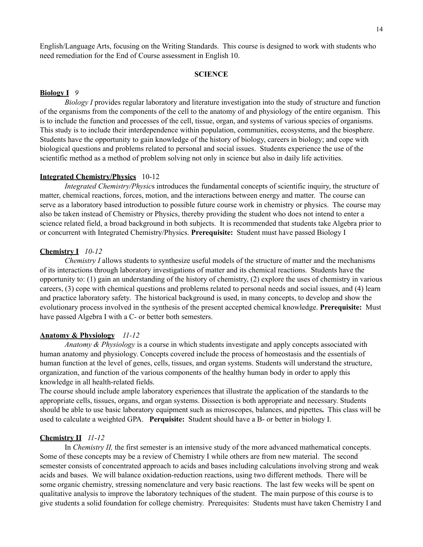English/Language Arts, focusing on the Writing Standards. This course is designed to work with students who need remediation for the End of Course assessment in English 10.

### **SCIENCE**

### **Biology I** *9*

*Biology I* provides regular laboratory and literature investigation into the study of structure and function of the organisms from the components of the cell to the anatomy of and physiology of the entire organism. This is to include the function and processes of the cell, tissue, organ, and systems of various species of organisms. This study is to include their interdependence within population, communities, ecosystems, and the biosphere. Students have the opportunity to gain knowledge of the history of biology, careers in biology; and cope with biological questions and problems related to personal and social issues. Students experience the use of the scientific method as a method of problem solving not only in science but also in daily life activities.

#### **Integrated Chemistry/Physics** 10-12

*Integrated Chemistry/Physic*s introduces the fundamental concepts of scientific inquiry, the structure of matter, chemical reactions, forces, motion, and the interactions between energy and matter. The course can serve as a laboratory based introduction to possible future course work in chemistry or physics. The course may also be taken instead of Chemistry or Physics, thereby providing the student who does not intend to enter a science related field, a broad background in both subjects. It is recommended that students take Algebra prior to or concurrent with Integrated Chemistry/Physics. **Prerequisite:** Student must have passed Biology I

#### **Chemistry I** *10-12*

*Chemistry I* allows students to synthesize useful models of the structure of matter and the mechanisms of its interactions through laboratory investigations of matter and its chemical reactions. Students have the opportunity to: (1) gain an understanding of the history of chemistry, (2) explore the uses of chemistry in various careers, (3) cope with chemical questions and problems related to personal needs and social issues, and (4) learn and practice laboratory safety. The historical background is used, in many concepts, to develop and show the evolutionary process involved in the synthesis of the present accepted chemical knowledge. **Prerequisite:** Must have passed Algebra I with a C- or better both semesters.

### **Anatomy & Physiology** *11-12*

*Anatomy & Physiology* is a course in which students investigate and apply concepts associated with human anatomy and physiology. Concepts covered include the process of homeostasis and the essentials of human function at the level of genes, cells, tissues, and organ systems. Students will understand the structure, organization, and function of the various components of the healthy human body in order to apply this knowledge in all health-related fields.

The course should include ample laboratory experiences that illustrate the application of the standards to the appropriate cells, tissues, organs, and organ systems. Dissection is both appropriate and necessary. Students should be able to use basic laboratory equipment such as microscopes, balances, and pipettes**.** This class will be used to calculate a weighted GPA. **Perquisite:** Student should have a B- or better in biology I.

#### **Chemistry II** *11-12*

In *Chemistry II,* the first semester is an intensive study of the more advanced mathematical concepts. Some of these concepts may be a review of Chemistry I while others are from new material. The second semester consists of concentrated approach to acids and bases including calculations involving strong and weak acids and bases. We will balance oxidation-reduction reactions, using two different methods. There will be some organic chemistry, stressing nomenclature and very basic reactions. The last few weeks will be spent on qualitative analysis to improve the laboratory techniques of the student. The main purpose of this course is to give students a solid foundation for college chemistry. Prerequisites: Students must have taken Chemistry I and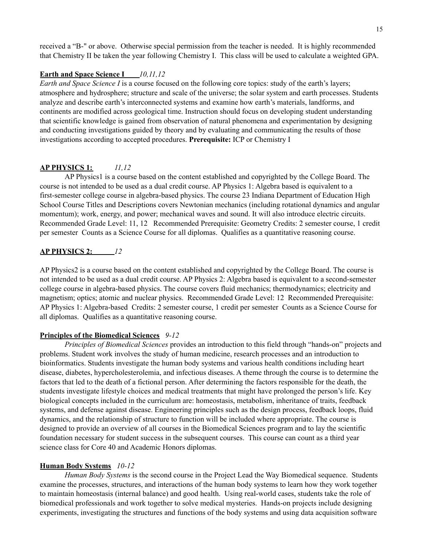received a "B-" or above. Otherwise special permission from the teacher is needed. It is highly recommended that Chemistry II be taken the year following Chemistry I. This class will be used to calculate a weighted GPA.

### **Earth and Space Science I** *10,11,12*

*Earth and Space Science I* is a course focused on the following core topics: study of the earth's layers; atmosphere and hydrosphere; structure and scale of the universe; the solar system and earth processes. Students analyze and describe earth's interconnected systems and examine how earth's materials, landforms, and continents are modified across geological time. Instruction should focus on developing student understanding that scientific knowledge is gained from observation of natural phenomena and experimentation by designing and conducting investigations guided by theory and by evaluating and communicating the results of those investigations according to accepted procedures. **Prerequisite:** ICP or Chemistry I

## **AP PHYSICS 1:** *11,12*

AP Physics1 is a course based on the content established and copyrighted by the College Board. The course is not intended to be used as a dual credit course. AP Physics 1: Algebra based is equivalent to a first-semester college course in algebra-based physics. The course 23 Indiana Department of Education High School Course Titles and Descriptions covers Newtonian mechanics (including rotational dynamics and angular momentum); work, energy, and power; mechanical waves and sound. It will also introduce electric circuits. Recommended Grade Level: 11, 12 Recommended Prerequisite: Geometry Credits: 2 semester course, 1 credit per semester Counts as a Science Course for all diplomas. Qualifies as a quantitative reasoning course.

### **AP PHYSICS 2:** *12*

AP Physics2 is a course based on the content established and copyrighted by the College Board. The course is not intended to be used as a dual credit course. AP Physics 2: Algebra based is equivalent to a second-semester college course in algebra-based physics. The course covers fluid mechanics; thermodynamics; electricity and magnetism; optics; atomic and nuclear physics. Recommended Grade Level: 12 Recommended Prerequisite: AP Physics 1: Algebra-based Credits: 2 semester course, 1 credit per semester Counts as a Science Course for all diplomas. Qualifies as a quantitative reasoning course.

### **Principles of the Biomedical Sciences** *9-12*

*Principles of Biomedical Sciences* provides an introduction to this field through "hands-on" projects and problems. Student work involves the study of human medicine, research processes and an introduction to bioinformatics. Students investigate the human body systems and various health conditions including heart disease, diabetes, hypercholesterolemia, and infectious diseases. A theme through the course is to determine the factors that led to the death of a fictional person. After determining the factors responsible for the death, the students investigate lifestyle choices and medical treatments that might have prolonged the person's life. Key biological concepts included in the curriculum are: homeostasis, metabolism, inheritance of traits, feedback systems, and defense against disease. Engineering principles such as the design process, feedback loops, fluid dynamics, and the relationship of structure to function will be included where appropriate. The course is designed to provide an overview of all courses in the Biomedical Sciences program and to lay the scientific foundation necessary for student success in the subsequent courses. This course can count as a third year science class for Core 40 and Academic Honors diplomas.

## **Human Body Systems** *10-12*

*Human Body Systems* is the second course in the Project Lead the Way Biomedical sequence. Students examine the processes, structures, and interactions of the human body systems to learn how they work together to maintain homeostasis (internal balance) and good health. Using real-world cases, students take the role of biomedical professionals and work together to solve medical mysteries. Hands-on projects include designing experiments, investigating the structures and functions of the body systems and using data acquisition software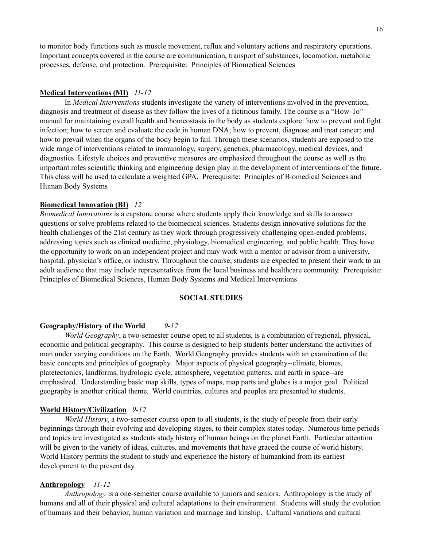to monitor body functions such as muscle movement, reflux and voluntary actions and respiratory operations. Important concepts covered in the course are communication, transport of substances, locomotion, metabolic processes, defense, and protection. Prerequisite: Principles of Biomedical Sciences

### **Medical Interventions (MI)** *11-12*

In *Medical Interventions* students investigate the variety of interventions involved in the prevention, diagnosis and treatment of disease as they follow the lives of a fictitious family. The course is a "How-To" manual for maintaining overall health and homeostasis in the body as students explore: how to prevent and fight infection; how to screen and evaluate the code in human DNA; how to prevent, diagnose and treat cancer; and how to prevail when the organs of the body begin to fail. Through these scenarios, students are exposed to the wide range of interventions related to immunology, surgery, genetics, pharmacology, medical devices, and diagnostics. Lifestyle choices and preventive measures are emphasized throughout the course as well as the important roles scientific thinking and engineering design play in the development of interventions of the future. This class will be used to calculate a weighted GPA. Prerequisite: Principles of Biomedical Sciences and Human Body Systems

## **Biomedical Innovation (BI)** *12*

*Biomedical Innovations* is a capstone course where students apply their knowledge and skills to answer questions or solve problems related to the biomedical sciences. Students design innovative solutions for the health challenges of the 21st century as they work through progressively challenging open-ended problems, addressing topics such as clinical medicine, physiology, biomedical engineering, and public health. They have the opportunity to work on an independent project and may work with a mentor or advisor from a university, hospital, physician's office, or industry. Throughout the course, students are expected to present their work to an adult audience that may include representatives from the local business and healthcare community. Prerequisite: Principles of Biomedical Sciences, Human Body Systems and Medical Interventions

### **SOCIAL STUDIES**

### **Geography/History of the World** *9-12*

*World Geography*, a two-semester course open to all students, is a combination of regional, physical, economic and political geography. This course is designed to help students better understand the activities of man under varying conditions on the Earth. World Geography provides students with an examination of the basic concepts and principles of geography. Major aspects of physical geography--climate, biomes, platetectonics, landforms, hydrologic cycle, atmosphere, vegetation patterns, and earth in space--are emphasized. Understanding basic map skills, types of maps, map parts and globes is a major goal. Political geography is another critical theme. World countries, cultures and peoples are presented to students.

#### **World History/Civilization** *9-12*

*World History*, a two-semester course open to all students, is the study of people from their early beginnings through their evolving and developing stages, to their complex states today. Numerous time periods and topics are investigated as students study history of human beings on the planet Earth. Particular attention will be given to the variety of ideas, cultures, and movements that have graced the course of world history. World History permits the student to study and experience the history of humankind from its earliest development to the present day.

#### **Anthropology** *11-12*

*Anthropology* is a one-semester course available to juniors and seniors. Anthropology is the study of humans and all of their physical and cultural adaptations to their environment. Students will study the evolution of humans and their behavior, human variation and marriage and kinship. Cultural variations and cultural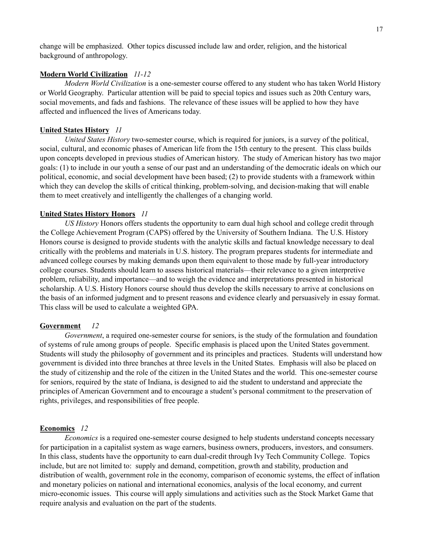change will be emphasized. Other topics discussed include law and order, religion, and the historical background of anthropology.

### **Modern World Civilization** *11-12*

*Modern World Civilization* is a one-semester course offered to any student who has taken World History or World Geography. Particular attention will be paid to special topics and issues such as 20th Century wars, social movements, and fads and fashions. The relevance of these issues will be applied to how they have affected and influenced the lives of Americans today.

### **United States History** *11*

*United States History* two-semester course, which is required for juniors, is a survey of the political, social, cultural, and economic phases of American life from the 15th century to the present. This class builds upon concepts developed in previous studies of American history. The study of American history has two major goals: (1) to include in our youth a sense of our past and an understanding of the democratic ideals on which our political, economic, and social development have been based; (2) to provide students with a framework within which they can develop the skills of critical thinking, problem-solving, and decision-making that will enable them to meet creatively and intelligently the challenges of a changing world.

#### **United States History Honors** *11*

*US History* Honors offers students the opportunity to earn dual high school and college credit through the College Achievement Program (CAPS) offered by the University of Southern Indiana. The U.S. History Honors course is designed to provide students with the analytic skills and factual knowledge necessary to deal critically with the problems and materials in U.S. history. The program prepares students for intermediate and advanced college courses by making demands upon them equivalent to those made by full-year introductory college courses. Students should learn to assess historical materials—their relevance to a given interpretive problem, reliability, and importance—and to weigh the evidence and interpretations presented in historical scholarship. A U.S. History Honors course should thus develop the skills necessary to arrive at conclusions on the basis of an informed judgment and to present reasons and evidence clearly and persuasively in essay format. This class will be used to calculate a weighted GPA.

#### **Government** *12*

*Government*, a required one-semester course for seniors, is the study of the formulation and foundation of systems of rule among groups of people. Specific emphasis is placed upon the United States government. Students will study the philosophy of government and its principles and practices. Students will understand how government is divided into three branches at three levels in the United States. Emphasis will also be placed on the study of citizenship and the role of the citizen in the United States and the world. This one-semester course for seniors, required by the state of Indiana, is designed to aid the student to understand and appreciate the principles of American Government and to encourage a student's personal commitment to the preservation of rights, privileges, and responsibilities of free people.

### **Economics** *12*

*Economics* is a required one-semester course designed to help students understand concepts necessary for participation in a capitalist system as wage earners, business owners, producers, investors, and consumers. In this class, students have the opportunity to earn dual-credit through Ivy Tech Community College. Topics include, but are not limited to: supply and demand, competition, growth and stability, production and distribution of wealth, government role in the economy, comparison of economic systems, the effect of inflation and monetary policies on national and international economics, analysis of the local economy, and current micro-economic issues. This course will apply simulations and activities such as the Stock Market Game that require analysis and evaluation on the part of the students.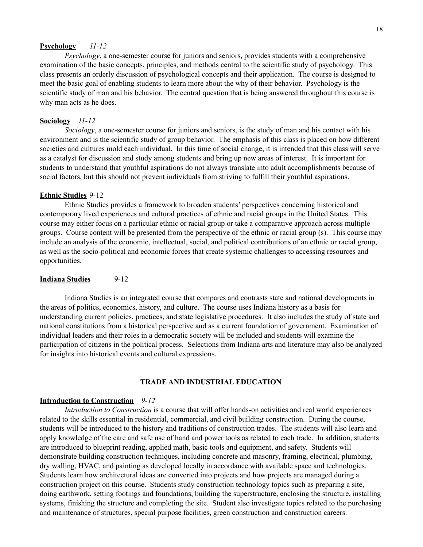#### **Psychology** *11-12*

*Psychology*, a one-semester course for juniors and seniors, provides students with a comprehensive examination of the basic concepts, principles, and methods central to the scientific study of psychology. This class presents an orderly discussion of psychological concepts and their application. The course is designed to meet the basic goal of enabling students to learn more about the why of their behavior. Psychology is the scientific study of man and his behavior. The central question that is being answered throughout this course is why man acts as he does.

#### **Sociology** *11-12*

*Sociology*, a one-semester course for juniors and seniors, is the study of man and his contact with his environment and is the scientific study of group behavior. The emphasis of this class is placed on how different societies and cultures mold each individual. In this time of social change, it is intended that this class will serve as a catalyst for discussion and study among students and bring up new areas of interest. It is important for students to understand that youthful aspirations do not always translate into adult accomplishments because of social factors, but this should not prevent individuals from striving to fulfill their youthful aspirations.

#### **Ethnic Studies** 9-12

Ethnic Studies provides a framework to broaden students' perspectives concerning historical and contemporary lived experiences and cultural practices of ethnic and racial groups in the United States. This course may either focus on a particular ethnic or racial group or take a comparative approach across multiple groups. Course content will be presented from the perspective of the ethnic or racial group (s). This course may include an analysis of the economic, intellectual, social, and political contributions of an ethnic or racial group, as well as the socio-political and economic forces that create systemic challenges to accessing resources and opportunities.

#### **Indiana Studies** 9-12

Indiana Studies is an integrated course that compares and contrasts state and national developments in the areas of politics, economics, history, and culture. The course uses Indiana history as a basis for understanding current policies, practices, and state legislative procedures. It also includes the study of state and national constitutions from a historical perspective and as a current foundation of government. Examination of individual leaders and their roles in a democratic society will be included and students will examine the participation of citizens in the political process. Selections from Indiana arts and literature may also be analyzed for insights into historical events and cultural expressions.

### **TRADE AND INDUSTRIAL EDUCATION**

#### **Introduction to Construction** *9-12*

*Introduction to Construction* is a course that will offer hands-on activities and real world experiences related to the skills essential in residential, commercial, and civil building construction. During the course, students will be introduced to the history and traditions of construction trades. The students will also learn and apply knowledge of the care and safe use of hand and power tools as related to each trade. In addition, students are introduced to blueprint reading, applied math, basic tools and equipment, and safety. Students will demonstrate building construction techniques, including concrete and masonry, framing, electrical, plumbing, dry walling, HVAC, and painting as developed locally in accordance with available space and technologies. Students learn how architectural ideas are converted into projects and how projects are managed during a construction project on this course. Students study construction technology topics such as preparing a site, doing earthwork, setting footings and foundations, building the superstructure, enclosing the structure, installing systems, finishing the structure and completing the site. Student also investigate topics related to the purchasing and maintenance of structures, special purpose facilities, green construction and construction careers.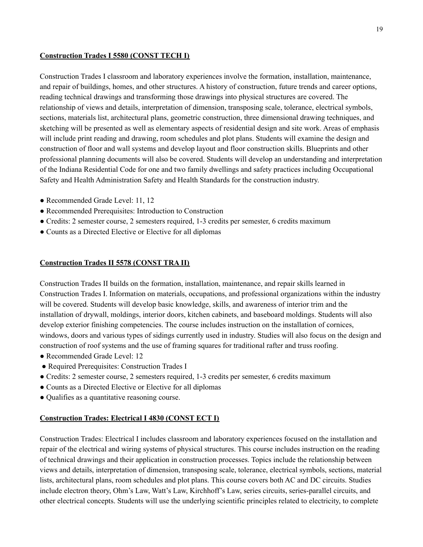## **Construction Trades I 5580 (CONST TECH I)**

Construction Trades I classroom and laboratory experiences involve the formation, installation, maintenance, and repair of buildings, homes, and other structures. A history of construction, future trends and career options, reading technical drawings and transforming those drawings into physical structures are covered. The relationship of views and details, interpretation of dimension, transposing scale, tolerance, electrical symbols, sections, materials list, architectural plans, geometric construction, three dimensional drawing techniques, and sketching will be presented as well as elementary aspects of residential design and site work. Areas of emphasis will include print reading and drawing, room schedules and plot plans. Students will examine the design and construction of floor and wall systems and develop layout and floor construction skills. Blueprints and other professional planning documents will also be covered. Students will develop an understanding and interpretation of the Indiana Residential Code for one and two family dwellings and safety practices including Occupational Safety and Health Administration Safety and Health Standards for the construction industry.

- Recommended Grade Level: 11, 12
- Recommended Prerequisites: Introduction to Construction
- Credits: 2 semester course, 2 semesters required, 1-3 credits per semester, 6 credits maximum
- Counts as a Directed Elective or Elective for all diplomas

## **Construction Trades II 5578 (CONST TRA II)**

Construction Trades II builds on the formation, installation, maintenance, and repair skills learned in Construction Trades I. Information on materials, occupations, and professional organizations within the industry will be covered. Students will develop basic knowledge, skills, and awareness of interior trim and the installation of drywall, moldings, interior doors, kitchen cabinets, and baseboard moldings. Students will also develop exterior finishing competencies. The course includes instruction on the installation of cornices, windows, doors and various types of sidings currently used in industry. Studies will also focus on the design and construction of roof systems and the use of framing squares for traditional rafter and truss roofing.

- Recommended Grade Level: 12
- Required Prerequisites: Construction Trades I
- Credits: 2 semester course, 2 semesters required, 1-3 credits per semester, 6 credits maximum
- Counts as a Directed Elective or Elective for all diplomas
- Qualifies as a quantitative reasoning course.

## **Construction Trades: Electrical I 4830 (CONST ECT I)**

Construction Trades: Electrical I includes classroom and laboratory experiences focused on the installation and repair of the electrical and wiring systems of physical structures. This course includes instruction on the reading of technical drawings and their application in construction processes. Topics include the relationship between views and details, interpretation of dimension, transposing scale, tolerance, electrical symbols, sections, material lists, architectural plans, room schedules and plot plans. This course covers both AC and DC circuits. Studies include electron theory, Ohm's Law, Watt's Law, Kirchhoff's Law, series circuits, series-parallel circuits, and other electrical concepts. Students will use the underlying scientific principles related to electricity, to complete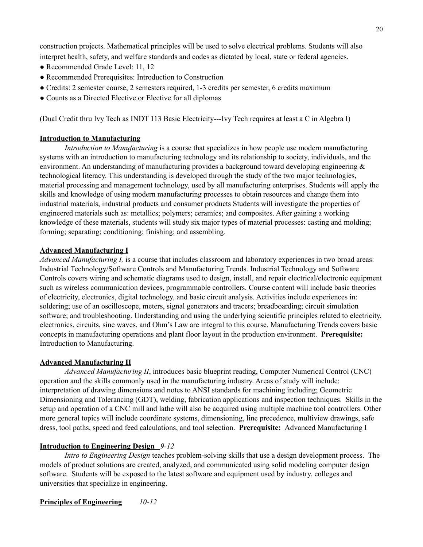construction projects. Mathematical principles will be used to solve electrical problems. Students will also interpret health, safety, and welfare standards and codes as dictated by local, state or federal agencies.

- Recommended Grade Level: 11, 12
- Recommended Prerequisites: Introduction to Construction
- Credits: 2 semester course, 2 semesters required, 1-3 credits per semester, 6 credits maximum
- Counts as a Directed Elective or Elective for all diplomas

(Dual Credit thru Ivy Tech as INDT 113 Basic Electricity---Ivy Tech requires at least a C in Algebra I)

## **Introduction to Manufacturing**

*Introduction to Manufacturing* is a course that specializes in how people use modern manufacturing systems with an introduction to manufacturing technology and its relationship to society, individuals, and the environment. An understanding of manufacturing provides a background toward developing engineering & technological literacy. This understanding is developed through the study of the two major technologies, material processing and management technology, used by all manufacturing enterprises. Students will apply the skills and knowledge of using modern manufacturing processes to obtain resources and change them into industrial materials, industrial products and consumer products Students will investigate the properties of engineered materials such as: metallics; polymers; ceramics; and composites. After gaining a working knowledge of these materials, students will study six major types of material processes: casting and molding; forming; separating; conditioning; finishing; and assembling.

## **Advanced Manufacturing I**

*Advanced Manufacturing I,* is a course that includes classroom and laboratory experiences in two broad areas: Industrial Technology/Software Controls and Manufacturing Trends. Industrial Technology and Software Controls covers wiring and schematic diagrams used to design, install, and repair electrical/electronic equipment such as wireless communication devices, programmable controllers. Course content will include basic theories of electricity, electronics, digital technology, and basic circuit analysis. Activities include experiences in: soldering; use of an oscilloscope, meters, signal generators and tracers; breadboarding; circuit simulation software; and troubleshooting. Understanding and using the underlying scientific principles related to electricity, electronics, circuits, sine waves, and Ohm's Law are integral to this course. Manufacturing Trends covers basic concepts in manufacturing operations and plant floor layout in the production environment. **Prerequisite:** Introduction to Manufacturing.

## **Advanced Manufacturing II**

*Advanced Manufacturing II*, introduces basic blueprint reading, Computer Numerical Control (CNC) operation and the skills commonly used in the manufacturing industry. Areas of study will include: interpretation of drawing dimensions and notes to ANSI standards for machining including; Geometric Dimensioning and Tolerancing (GDT), welding, fabrication applications and inspection techniques. Skills in the setup and operation of a CNC mill and lathe will also be acquired using multiple machine tool controllers. Other more general topics will include coordinate systems, dimensioning, line precedence, multiview drawings, safe dress, tool paths, speed and feed calculations, and tool selection. **Prerequisite:** Advanced Manufacturing I

## **Introduction to Engineering Design** *9-12*

*Intro to Engineering Design* teaches problem-solving skills that use a design development process. The models of product solutions are created, analyzed, and communicated using solid modeling computer design software. Students will be exposed to the latest software and equipment used by industry, colleges and universities that specialize in engineering.

**Principles of Engineering** *10-12*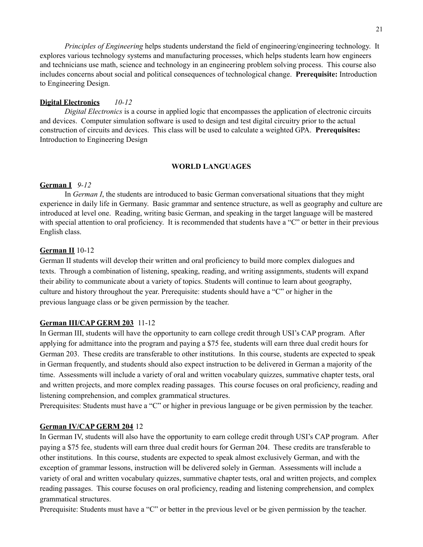*Principles of Engineering* helps students understand the field of engineering/engineering technology. It explores various technology systems and manufacturing processes, which helps students learn how engineers and technicians use math, science and technology in an engineering problem solving process. This course also includes concerns about social and political consequences of technological change. **Prerequisite:** Introduction to Engineering Design.

### **Digital Electronics** *10-12*

*Digital Electronics* is a course in applied logic that encompasses the application of electronic circuits and devices. Computer simulation software is used to design and test digital circuitry prior to the actual construction of circuits and devices. This class will be used to calculate a weighted GPA. **Prerequisites:** Introduction to Engineering Design

### **WORLD LANGUAGES**

### **German I** *9-12*

In *German I*, the students are introduced to basic German conversational situations that they might experience in daily life in Germany. Basic grammar and sentence structure, as well as geography and culture are introduced at level one. Reading, writing basic German, and speaking in the target language will be mastered with special attention to oral proficiency. It is recommended that students have a "C" or better in their previous English class.

## **German II** 10-12

German II students will develop their written and oral proficiency to build more complex dialogues and texts. Through a combination of listening, speaking, reading, and writing assignments, students will expand their ability to communicate about a variety of topics. Students will continue to learn about geography, culture and history throughout the year. Prerequisite: students should have a "C" or higher in the previous language class or be given permission by the teacher.

### **German III/CAP GERM 203** 11-12

In German III, students will have the opportunity to earn college credit through USI's CAP program. After applying for admittance into the program and paying a \$75 fee, students will earn three dual credit hours for German 203. These credits are transferable to other institutions. In this course, students are expected to speak in German frequently, and students should also expect instruction to be delivered in German a majority of the time. Assessments will include a variety of oral and written vocabulary quizzes, summative chapter tests, oral and written projects, and more complex reading passages. This course focuses on oral proficiency, reading and listening comprehension, and complex grammatical structures.

Prerequisites: Students must have a "C" or higher in previous language or be given permission by the teacher.

### **German IV/CAP GERM 204** 12

In German IV, students will also have the opportunity to earn college credit through USI's CAP program. After paying a \$75 fee, students will earn three dual credit hours for German 204. These credits are transferable to other institutions. In this course, students are expected to speak almost exclusively German, and with the exception of grammar lessons, instruction will be delivered solely in German. Assessments will include a variety of oral and written vocabulary quizzes, summative chapter tests, oral and written projects, and complex reading passages. This course focuses on oral proficiency, reading and listening comprehension, and complex grammatical structures.

Prerequisite: Students must have a "C" or better in the previous level or be given permission by the teacher.